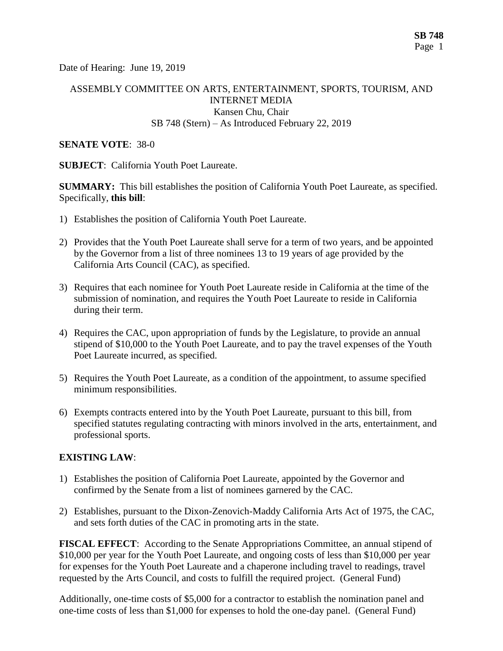Date of Hearing: June 19, 2019

## ASSEMBLY COMMITTEE ON ARTS, ENTERTAINMENT, SPORTS, TOURISM, AND INTERNET MEDIA Kansen Chu, Chair SB 748 (Stern) – As Introduced February 22, 2019

#### **SENATE VOTE**: 38-0

**SUBJECT**: California Youth Poet Laureate.

**SUMMARY:** This bill establishes the position of California Youth Poet Laureate, as specified. Specifically, **this bill**:

- 1) Establishes the position of California Youth Poet Laureate.
- 2) Provides that the Youth Poet Laureate shall serve for a term of two years, and be appointed by the Governor from a list of three nominees 13 to 19 years of age provided by the California Arts Council (CAC), as specified.
- 3) Requires that each nominee for Youth Poet Laureate reside in California at the time of the submission of nomination, and requires the Youth Poet Laureate to reside in California during their term.
- 4) Requires the CAC, upon appropriation of funds by the Legislature, to provide an annual stipend of \$10,000 to the Youth Poet Laureate, and to pay the travel expenses of the Youth Poet Laureate incurred, as specified.
- 5) Requires the Youth Poet Laureate, as a condition of the appointment, to assume specified minimum responsibilities.
- 6) Exempts contracts entered into by the Youth Poet Laureate, pursuant to this bill, from specified statutes regulating contracting with minors involved in the arts, entertainment, and professional sports.

## **EXISTING LAW**:

- 1) Establishes the position of California Poet Laureate, appointed by the Governor and confirmed by the Senate from a list of nominees garnered by the CAC.
- 2) Establishes, pursuant to the Dixon-Zenovich-Maddy California Arts Act of 1975, the CAC, and sets forth duties of the CAC in promoting arts in the state.

**FISCAL EFFECT**: According to the Senate Appropriations Committee, an annual stipend of \$10,000 per year for the Youth Poet Laureate, and ongoing costs of less than \$10,000 per year for expenses for the Youth Poet Laureate and a chaperone including travel to readings, travel requested by the Arts Council, and costs to fulfill the required project. (General Fund)

Additionally, one-time costs of \$5,000 for a contractor to establish the nomination panel and one-time costs of less than \$1,000 for expenses to hold the one-day panel. (General Fund)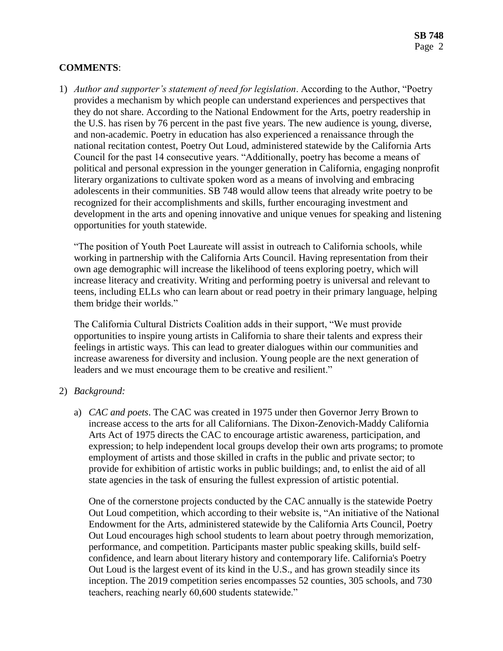# **COMMENTS**:

1) *Author and supporter's statement of need for legislation*. According to the Author, "Poetry provides a mechanism by which people can understand experiences and perspectives that they do not share. According to the National Endowment for the Arts, poetry readership in the U.S. has risen by 76 percent in the past five years. The new audience is young, diverse, and non-academic. Poetry in education has also experienced a renaissance through the national recitation contest, Poetry Out Loud, administered statewide by the California Arts Council for the past 14 consecutive years. "Additionally, poetry has become a means of political and personal expression in the younger generation in California, engaging nonprofit literary organizations to cultivate spoken word as a means of involving and embracing adolescents in their communities. SB 748 would allow teens that already write poetry to be recognized for their accomplishments and skills, further encouraging investment and development in the arts and opening innovative and unique venues for speaking and listening opportunities for youth statewide.

"The position of Youth Poet Laureate will assist in outreach to California schools, while working in partnership with the California Arts Council. Having representation from their own age demographic will increase the likelihood of teens exploring poetry, which will increase literacy and creativity. Writing and performing poetry is universal and relevant to teens, including ELLs who can learn about or read poetry in their primary language, helping them bridge their worlds."

The California Cultural Districts Coalition adds in their support, "We must provide opportunities to inspire young artists in California to share their talents and express their feelings in artistic ways. This can lead to greater dialogues within our communities and increase awareness for diversity and inclusion. Young people are the next generation of leaders and we must encourage them to be creative and resilient."

#### 2) *Background:*

a) *CAC and poets*. The CAC was created in 1975 under then Governor Jerry Brown to increase access to the arts for all Californians. The Dixon-Zenovich-Maddy California Arts Act of 1975 directs the CAC to encourage artistic awareness, participation, and expression; to help independent local groups develop their own arts programs; to promote employment of artists and those skilled in crafts in the public and private sector; to provide for exhibition of artistic works in public buildings; and, to enlist the aid of all state agencies in the task of ensuring the fullest expression of artistic potential.

One of the cornerstone projects conducted by the CAC annually is the statewide Poetry Out Loud competition, which according to their website is, "An initiative of the National Endowment for the Arts, administered statewide by the California Arts Council, Poetry Out Loud encourages high school students to learn about poetry through memorization, performance, and competition. Participants master public speaking skills, build selfconfidence, and learn about literary history and contemporary life. California's Poetry Out Loud is the largest event of its kind in the U.S., and has grown steadily since its inception. The 2019 competition series encompasses 52 counties, 305 schools, and 730 teachers, reaching nearly 60,600 students statewide."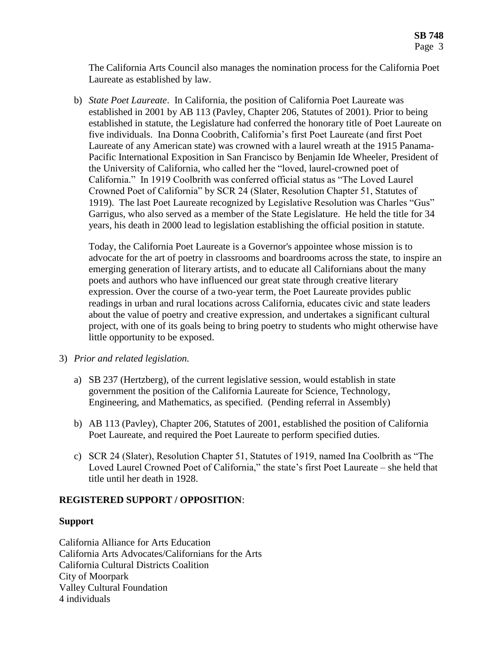The California Arts Council also manages the nomination process for the California Poet Laureate as established by law.

b) *State Poet Laureate*. In California, the position of California Poet Laureate was established in 2001 by AB 113 (Pavley, Chapter 206, Statutes of 2001). Prior to being established in statute, the Legislature had conferred the honorary title of Poet Laureate on five individuals. Ina Donna Coobrith, California's first Poet Laureate (and first Poet Laureate of any American state) was crowned with a laurel wreath at the 1915 Panama-Pacific International Exposition in San Francisco by Benjamin Ide Wheeler, President of the University of California, who called her the "loved, laurel-crowned poet of California." In 1919 Coolbrith was conferred official status as "The Loved Laurel Crowned Poet of California" by SCR 24 (Slater, Resolution Chapter 51, Statutes of 1919). The last Poet Laureate recognized by Legislative Resolution was Charles "Gus" Garrigus, who also served as a member of the State Legislature. He held the title for 34 years, his death in 2000 lead to legislation establishing the official position in statute.

Today, the California Poet Laureate is a Governor's appointee whose mission is to advocate for the art of poetry in classrooms and boardrooms across the state, to inspire an emerging generation of literary artists, and to educate all Californians about the many poets and authors who have influenced our great state through creative literary expression. Over the course of a two-year term, the Poet Laureate provides public readings in urban and rural locations across California, educates civic and state leaders about the value of poetry and creative expression, and undertakes a significant cultural project, with one of its goals being to bring poetry to students who might otherwise have little opportunity to be exposed.

- 3) *Prior and related legislation.*
	- a) SB 237 (Hertzberg), of the current legislative session, would establish in state government the position of the California Laureate for Science, Technology, Engineering, and Mathematics, as specified. (Pending referral in Assembly)
	- b) AB 113 (Pavley), Chapter 206, Statutes of 2001, established the position of California Poet Laureate, and required the Poet Laureate to perform specified duties.
	- c) SCR 24 (Slater), Resolution Chapter 51, Statutes of 1919, named Ina Coolbrith as "The Loved Laurel Crowned Poet of California," the state's first Poet Laureate – she held that title until her death in 1928.

# **REGISTERED SUPPORT / OPPOSITION**:

## **Support**

California Alliance for Arts Education California Arts Advocates/Californians for the Arts California Cultural Districts Coalition City of Moorpark Valley Cultural Foundation 4 individuals